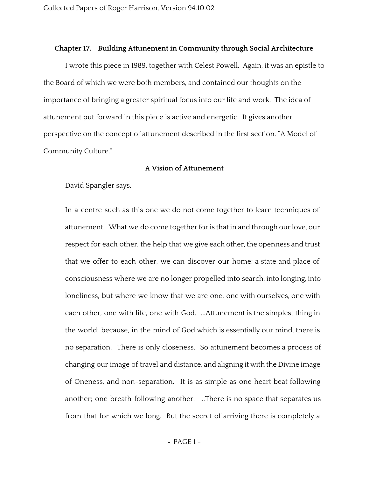#### **Chapter 17. Building Attunement in Community through Social Architecture**

I wrote this piece in 1989, together with Celest Powell. Again, it was an epistle to the Board of which we were both members, and contained our thoughts on the importance of bringing a greater spiritual focus into our life and work. The idea of attunement put forward in this piece is active and energetic. It gives another perspective on the concept of attunement described in the first section. "A Model of Community Culture."

### **A Vision of Attunement**

David Spangler says,

In a centre such as this one we do not come together to learn techniques of attunement. What we do come together for is that in and through our love, our respect for each other, the help that we give each other, the openness and trust that we offer to each other, we can discover our home; a state and place of consciousness where we are no longer propelled into search, into longing, into loneliness, but where we know that we are one, one with ourselves, one with each other, one with life, one with God. ...Attunement is the simplest thing in the world; because, in the mind of God which is essentially our mind, there is no separation. There is only closeness. So attunement becomes a process of changing our image of travel and distance, and aligning it with the Divine image of Oneness, and non-separation. It is as simple as one heart beat following another; one breath following another. ...There is no space that separates us from that for which we long. But the secret of arriving there is completely a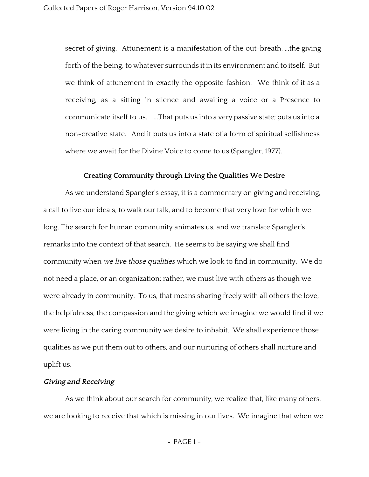secret of giving. Attunement is a manifestation of the out-breath, ...the giving forth of the being, to whatever surrounds it in its environment and to itself. But we think of attunement in exactly the opposite fashion. We think of it as a receiving, as a sitting in silence and awaiting a voice or a Presence to communicate itself to us. ...That puts us into a very passive state; puts us into a non-creative state. And it puts us into a state of a form of spiritual selfishness where we await for the Divine Voice to come to us (Spangler, 1977).

## **Creating Community through Living the Qualities We Desire**

As we understand Spangler's essay, it is a commentary on giving and receiving, a call to live our ideals, to walk our talk, and to become that very love for which we long. The search for human community animates us, and we translate Spangler's remarks into the context of that search. He seems to be saying we shall find community when we live those qualities which we look to find in community. We do not need a place, or an organization; rather, we must live with others as though we were already in community. To us, that means sharing freely with all others the love, the helpfulness, the compassion and the giving which we imagine we would find if we were living in the caring community we desire to inhabit. We shall experience those qualities as we put them out to others, and our nurturing of others shall nurture and uplift us.

### **Giving and Receiving**

As we think about our search for community, we realize that, like many others, we are looking to receive that which is missing in our lives. We imagine that when we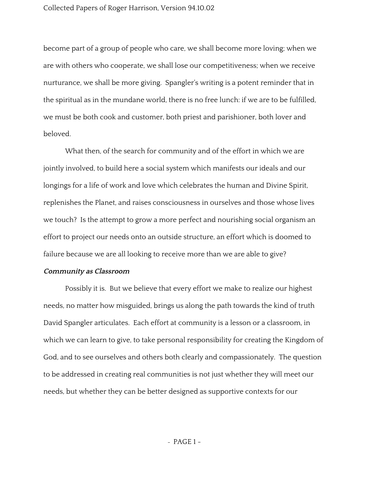become part of a group of people who care, we shall become more loving; when we are with others who cooperate, we shall lose our competitiveness; when we receive nurturance, we shall be more giving. Spangler's writing is a potent reminder that in the spiritual as in the mundane world, there is no free lunch: if we are to be fulfilled, we must be both cook and customer, both priest and parishioner, both lover and beloved.

What then, of the search for community and of the effort in which we are jointly involved, to build here a social system which manifests our ideals and our longings for a life of work and love which celebrates the human and Divine Spirit, replenishes the Planet, and raises consciousness in ourselves and those whose lives we touch? Is the attempt to grow a more perfect and nourishing social organism an effort to project our needs onto an outside structure, an effort which is doomed to failure because we are all looking to receive more than we are able to give?

### **Community as Classroom**

Possibly it is. But we believe that every effort we make to realize our highest needs, no matter how misguided, brings us along the path towards the kind of truth David Spangler articulates. Each effort at community is a lesson or a classroom, in which we can learn to give, to take personal responsibility for creating the Kingdom of God, and to see ourselves and others both clearly and compassionately. The question to be addressed in creating real communities is not just whether they will meet our needs, but whether they can be better designed as supportive contexts for our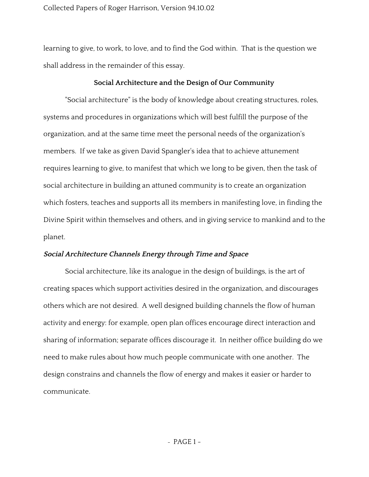## Collected Papers of Roger Harrison, Version 94.10.02

learning to give, to work, to love, and to find the God within. That is the question we shall address in the remainder of this essay.

# **Social Architecture and the Design of Our Community**

"Social architecture" is the body of knowledge about creating structures, roles, systems and procedures in organizations which will best fulfill the purpose of the organization, and at the same time meet the personal needs of the organization's members. If we take as given David Spangler's idea that to achieve attunement requires learning to give, to manifest that which we long to be given, then the task of social architecture in building an attuned community is to create an organization which fosters, teaches and supports all its members in manifesting love, in finding the Divine Spirit within themselves and others, and in giving service to mankind and to the planet.

### **Social Architecture Channels Energy through Time and Space**

Social architecture, like its analogue in the design of buildings, is the art of creating spaces which support activities desired in the organization, and discourages others which are not desired. A well designed building channels the flow of human activity and energy: for example, open plan offices encourage direct interaction and sharing of information; separate offices discourage it. In neither office building do we need to make rules about how much people communicate with one another. The design constrains and channels the flow of energy and makes it easier or harder to communicate.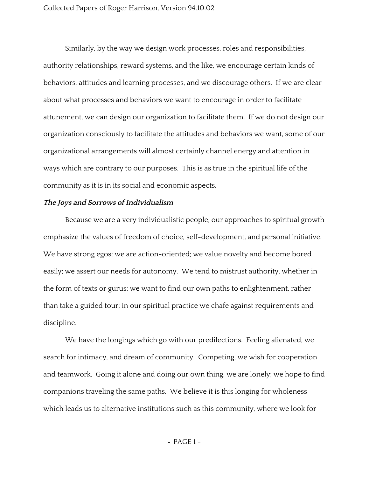Similarly, by the way we design work processes, roles and responsibilities, authority relationships, reward systems, and the like, we encourage certain kinds of behaviors, attitudes and learning processes, and we discourage others. If we are clear about what processes and behaviors we want to encourage in order to facilitate attunement, we can design our organization to facilitate them. If we do not design our organization consciously to facilitate the attitudes and behaviors we want, some of our organizational arrangements will almost certainly channel energy and attention in ways which are contrary to our purposes. This is as true in the spiritual life of the community as it is in its social and economic aspects.

#### **The Joys and Sorrows of Individualism**

Because we are a very individualistic people, our approaches to spiritual growth emphasize the values of freedom of choice, self-development, and personal initiative. We have strong egos; we are action-oriented; we value novelty and become bored easily; we assert our needs for autonomy. We tend to mistrust authority, whether in the form of texts or gurus; we want to find our own paths to enlightenment, rather than take a guided tour; in our spiritual practice we chafe against requirements and discipline.

We have the longings which go with our predilections. Feeling alienated, we search for intimacy, and dream of community. Competing, we wish for cooperation and teamwork. Going it alone and doing our own thing, we are lonely; we hope to find companions traveling the same paths. We believe it is this longing for wholeness which leads us to alternative institutions such as this community, where we look for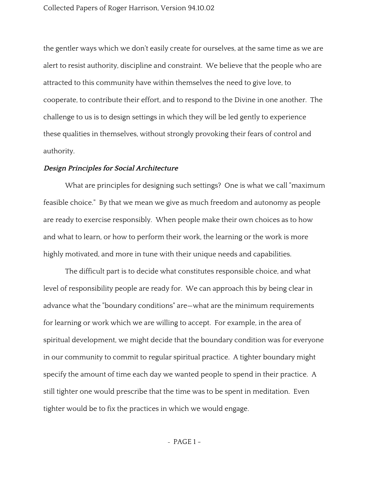the gentler ways which we don't easily create for ourselves, at the same time as we are alert to resist authority, discipline and constraint. We believe that the people who are attracted to this community have within themselves the need to give love, to cooperate, to contribute their effort, and to respond to the Divine in one another. The challenge to us is to design settings in which they will be led gently to experience these qualities in themselves, without strongly provoking their fears of control and authority.

#### **Design Principles for Social Architecture**

What are principles for designing such settings? One is what we call "maximum feasible choice." By that we mean we give as much freedom and autonomy as people are ready to exercise responsibly. When people make their own choices as to how and what to learn, or how to perform their work, the learning or the work is more highly motivated, and more in tune with their unique needs and capabilities.

The difficult part is to decide what constitutes responsible choice, and what level of responsibility people are ready for. We can approach this by being clear in advance what the "boundary conditions" are—what are the minimum requirements for learning or work which we are willing to accept. For example, in the area of spiritual development, we might decide that the boundary condition was for everyone in our community to commit to regular spiritual practice. A tighter boundary might specify the amount of time each day we wanted people to spend in their practice. A still tighter one would prescribe that the time was to be spent in meditation. Even tighter would be to fix the practices in which we would engage.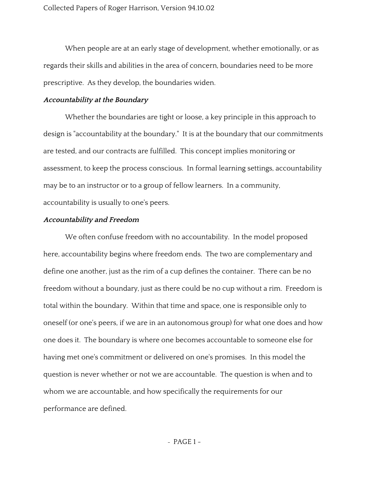When people are at an early stage of development, whether emotionally, or as regards their skills and abilities in the area of concern, boundaries need to be more prescriptive. As they develop, the boundaries widen.

# **Accountability at the Boundary**

Whether the boundaries are tight or loose, a key principle in this approach to design is "accountability at the boundary." It is at the boundary that our commitments are tested, and our contracts are fulfilled. This concept implies monitoring or assessment, to keep the process conscious. In formal learning settings, accountability may be to an instructor or to a group of fellow learners. In a community, accountability is usually to one's peers.

# **Accountability and Freedom**

We often confuse freedom with no accountability. In the model proposed here, accountability begins where freedom ends. The two are complementary and define one another, just as the rim of a cup defines the container. There can be no freedom without a boundary, just as there could be no cup without a rim. Freedom is total within the boundary. Within that time and space, one is responsible only to oneself (or one's peers, if we are in an autonomous group) for what one does and how one does it. The boundary is where one becomes accountable to someone else for having met one's commitment or delivered on one's promises. In this model the question is never whether or not we are accountable. The question is when and to whom we are accountable, and how specifically the requirements for our performance are defined.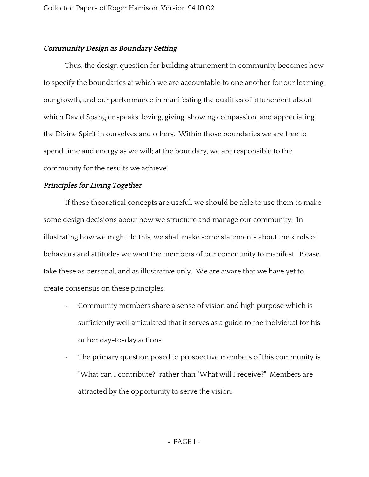# **Community Design as Boundary Setting**

Thus, the design question for building attunement in community becomes how to specify the boundaries at which we are accountable to one another for our learning, our growth, and our performance in manifesting the qualities of attunement about which David Spangler speaks: loving, giving, showing compassion, and appreciating the Divine Spirit in ourselves and others. Within those boundaries we are free to spend time and energy as we will; at the boundary, we are responsible to the community for the results we achieve.

# **Principles for Living Together**

If these theoretical concepts are useful, we should be able to use them to make some design decisions about how we structure and manage our community. In illustrating how we might do this, we shall make some statements about the kinds of behaviors and attitudes we want the members of our community to manifest. Please take these as personal, and as illustrative only. We are aware that we have yet to create consensus on these principles.

- Community members share a sense of vision and high purpose which is sufficiently well articulated that it serves as a guide to the individual for his or her day-to-day actions.
- The primary question posed to prospective members of this community is "What can I contribute?" rather than "What will I receive?" Members are attracted by the opportunity to serve the vision.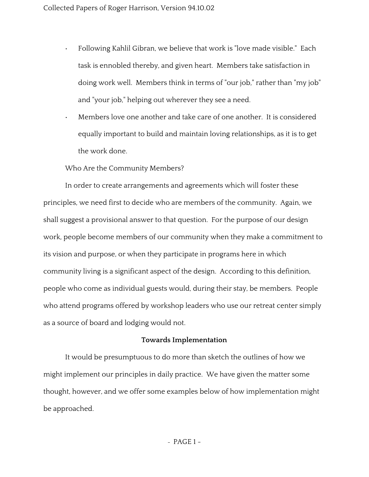- Following Kahlil Gibran, we believe that work is "love made visible." Each task is ennobled thereby, and given heart. Members take satisfaction in doing work well. Members think in terms of "our job," rather than "my job" and "your job," helping out wherever they see a need.
- Members love one another and take care of one another. It is considered equally important to build and maintain loving relationships, as it is to get the work done.

Who Are the Community Members?

In order to create arrangements and agreements which will foster these principles, we need first to decide who are members of the community. Again, we shall suggest a provisional answer to that question. For the purpose of our design work, people become members of our community when they make a commitment to its vision and purpose, or when they participate in programs here in which community living is a significant aspect of the design. According to this definition, people who come as individual guests would, during their stay, be members. People who attend programs offered by workshop leaders who use our retreat center simply as a source of board and lodging would not.

### **Towards Implementation**

It would be presumptuous to do more than sketch the outlines of how we might implement our principles in daily practice. We have given the matter some thought, however, and we offer some examples below of how implementation might be approached.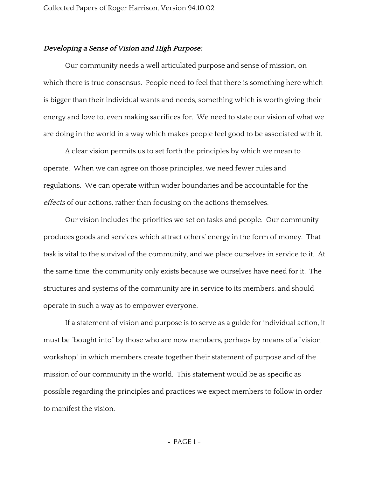#### **Developing <sup>a</sup> Sense of Vision and High Purpose:**

Our community needs a well articulated purpose and sense of mission, on which there is true consensus. People need to feel that there is something here which is bigger than their individual wants and needs, something which is worth giving their energy and love to, even making sacrifices for. We need to state our vision of what we are doing in the world in a way which makes people feel good to be associated with it.

A clear vision permits us to set forth the principles by which we mean to operate. When we can agree on those principles, we need fewer rules and regulations. We can operate within wider boundaries and be accountable for the effects of our actions, rather than focusing on the actions themselves.

Our vision includes the priorities we set on tasks and people. Our community produces goods and services which attract others' energy in the form of money. That task is vital to the survival of the community, and we place ourselves in service to it. At the same time, the community only exists because we ourselves have need for it. The structures and systems of the community are in service to its members, and should operate in such a way as to empower everyone.

If a statement of vision and purpose is to serve as a guide for individual action, it must be "bought into" by those who are now members, perhaps by means of a "vision workshop" in which members create together their statement of purpose and of the mission of our community in the world. This statement would be as specific as possible regarding the principles and practices we expect members to follow in order to manifest the vision.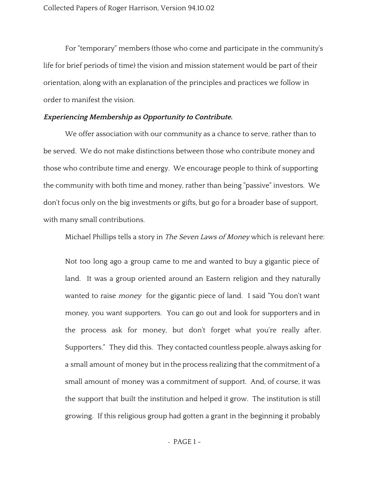For "temporary" members (those who come and participate in the community's life for brief periods of time) the vision and mission statement would be part of their orientation, along with an explanation of the principles and practices we follow in order to manifest the vision.

### **Experiencing Membership as Opportunity to Contribute.**

We offer association with our community as a chance to serve, rather than to be served. We do not make distinctions between those who contribute money and those who contribute time and energy. We encourage people to think of supporting the community with both time and money, rather than being "passive" investors. We don't focus only on the big investments or gifts, but go for a broader base of support, with many small contributions.

Michael Phillips tells a story in The Seven Laws of Money which is relevant here:

Not too long ago a group came to me and wanted to buy a gigantic piece of land. It was a group oriented around an Eastern religion and they naturally wanted to raise *money* for the gigantic piece of land. I said "You don't want money, you want supporters. You can go out and look for supporters and in the process ask for money, but don't forget what you're really after. Supporters." They did this. They contacted countless people, always asking for a small amount of money but in the process realizing that the commitment of a small amount of money was a commitment of support. And, of course, it was the support that built the institution and helped it grow. The institution is still growing. If this religious group had gotten a grant in the beginning it probably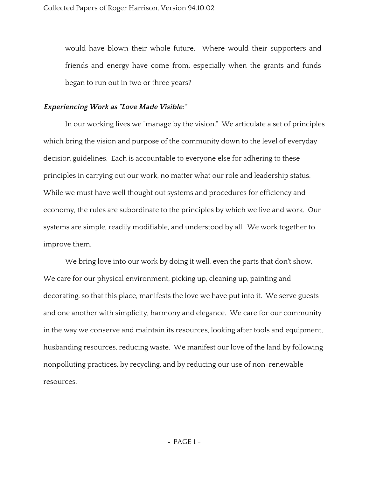would have blown their whole future. Where would their supporters and friends and energy have come from, especially when the grants and funds began to run out in two or three years?

# **Experiencing Work as "Love Made Visible:"**

In our working lives we "manage by the vision." We articulate a set of principles which bring the vision and purpose of the community down to the level of everyday decision guidelines. Each is accountable to everyone else for adhering to these principles in carrying out our work, no matter what our role and leadership status. While we must have well thought out systems and procedures for efficiency and economy, the rules are subordinate to the principles by which we live and work. Our systems are simple, readily modifiable, and understood by all. We work together to improve them.

We bring love into our work by doing it well, even the parts that don't show. We care for our physical environment, picking up, cleaning up, painting and decorating, so that this place, manifests the love we have put into it. We serve guests and one another with simplicity, harmony and elegance. We care for our community in the way we conserve and maintain its resources, looking after tools and equipment, husbanding resources, reducing waste. We manifest our love of the land by following nonpolluting practices, by recycling, and by reducing our use of non-renewable resources.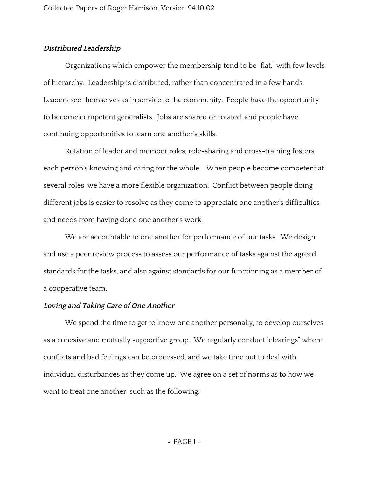# **Distributed Leadership**

Organizations which empower the membership tend to be "flat," with few levels of hierarchy. Leadership is distributed, rather than concentrated in a few hands. Leaders see themselves as in service to the community. People have the opportunity to become competent generalists. Jobs are shared or rotated, and people have continuing opportunities to learn one another's skills.

Rotation of leader and member roles, role-sharing and cross-training fosters each person's knowing and caring for the whole. When people become competent at several roles, we have a more flexible organization. Conflict between people doing different jobs is easier to resolve as they come to appreciate one another's difficulties and needs from having done one another's work.

We are accountable to one another for performance of our tasks. We design and use a peer review process to assess our performance of tasks against the agreed standards for the tasks, and also against standards for our functioning as a member of a cooperative team.

#### **Loving and Taking Care of One Another**

We spend the time to get to know one another personally, to develop ourselves as a cohesive and mutually supportive group. We regularly conduct "clearings" where conflicts and bad feelings can be processed, and we take time out to deal with individual disturbances as they come up. We agree on a set of norms as to how we want to treat one another, such as the following: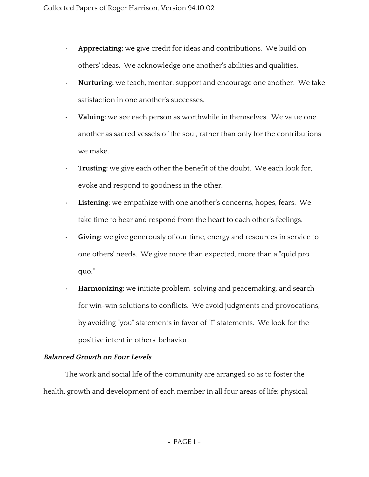- **Appreciating:**we give credit for ideas and contributions. We build on others' ideas. We acknowledge one another's abilities and qualities.
- **Nurturing:**we teach, mentor, support and encourage one another. We take satisfaction in one another's successes.
- **Valuing:**we see each person as worthwhile in themselves. We value one another as sacred vessels of the soul, rather than only for the contributions we make.
- **Trusting:**we give each other the benefit of the doubt. We each look for, evoke and respond to goodness in the other.
- **Listening:** we empathize with one another's concerns, hopes, fears. We take time to hear and respond from the heart to each other's feelings.
- **Giving:**we give generously of our time, energy and resources in service to one others' needs. We give more than expected, more than a "quid pro quo."
- **Harmonizing:**we initiate problem-solving and peacemaking, and search for win-win solutions to conflicts. We avoid judgments and provocations, by avoiding "you" statements in favor of "I" statements. We look for the positive intent in others' behavior.

# **Balanced Growth on Four Levels**

The work and social life of the community are arranged so as to foster the health, growth and development of each member in all four areas of life: physical,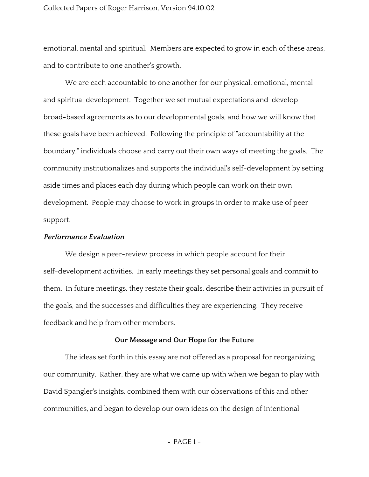#### Collected Papers of Roger Harrison, Version 94.10.02

emotional, mental and spiritual. Members are expected to grow in each of these areas, and to contribute to one another's growth.

We are each accountable to one another for our physical, emotional, mental and spiritual development. Together we set mutual expectations and develop broad-based agreements as to our developmental goals, and how we will know that these goals have been achieved. Following the principle of "accountability at the boundary," individuals choose and carry out their own ways of meeting the goals. The community institutionalizes and supports the individual's self-development by setting aside times and places each day during which people can work on their own development. People may choose to work in groups in order to make use of peer support.

#### **Performance Evaluation**

We design a peer-review process in which people account for their self-development activities. In early meetings they set personal goals and commit to them. In future meetings, they restate their goals, describe their activities in pursuit of the goals, and the successes and difficulties they are experiencing. They receive feedback and help from other members.

#### **Our Message and Our Hope for the Future**

The ideas set forth in this essay are not offered as a proposal for reorganizing our community. Rather, they are what we came up with when we began to play with David Spangler's insights, combined them with our observations of this and other communities, and began to develop our own ideas on the design of intentional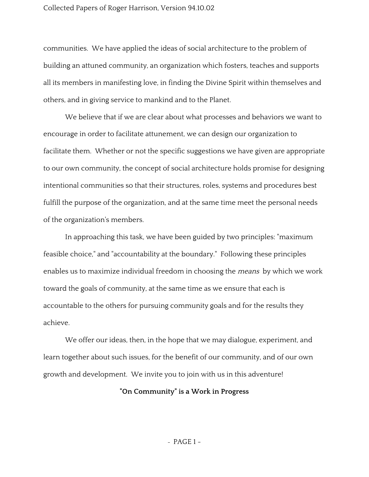#### Collected Papers of Roger Harrison, Version 94.10.02

communities. We have applied the ideas of social architecture to the problem of building an attuned community, an organization which fosters, teaches and supports all its members in manifesting love, in finding the Divine Spirit within themselves and others, and in giving service to mankind and to the Planet.

We believe that if we are clear about what processes and behaviors we want to encourage in order to facilitate attunement, we can design our organization to facilitate them. Whether or not the specific suggestions we have given are appropriate to our own community, the concept of social architecture holds promise for designing intentional communities so that their structures, roles, systems and procedures best fulfill the purpose of the organization, and at the same time meet the personal needs of the organization's members.

In approaching this task, we have been guided by two principles: "maximum feasible choice," and "accountability at the boundary." Following these principles enables us to maximize individual freedom in choosing the *means* by which we work toward the goals of community, at the same time as we ensure that each is accountable to the others for pursuing community goals and for the results they achieve.

We offer our ideas, then, in the hope that we may dialogue, experiment, and learn together about such issues, for the benefit of our community, and of our own growth and development. We invite you to join with us in this adventure!

# **"On Community" is a Work in Progress**